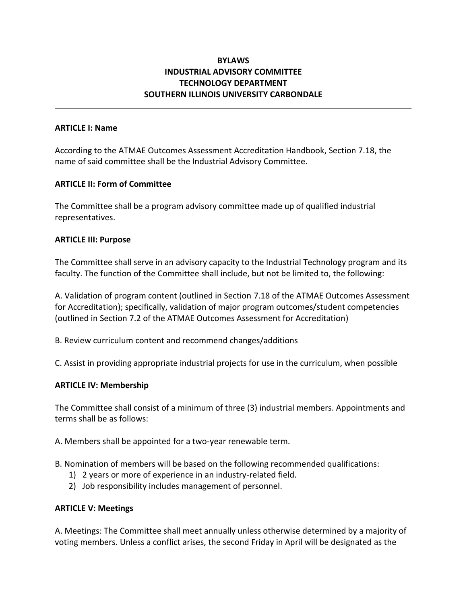## **BYLAWS INDUSTRIAL ADVISORY COMMITTEE TECHNOLOGY DEPARTMENT SOUTHERN ILLINOIS UNIVERSITY CARBONDALE**

### **ARTICLE I: Name**

According to the ATMAE Outcomes Assessment Accreditation Handbook, Section 7.18, the name of said committee shall be the Industrial Advisory Committee.

### **ARTICLE II: Form of Committee**

The Committee shall be a program advisory committee made up of qualified industrial representatives.

### **ARTICLE III: Purpose**

The Committee shall serve in an advisory capacity to the Industrial Technology program and its faculty. The function of the Committee shall include, but not be limited to, the following:

A. Validation of program content (outlined in Section 7.18 of the ATMAE Outcomes Assessment for Accreditation); specifically, validation of major program outcomes/student competencies (outlined in Section 7.2 of the ATMAE Outcomes Assessment for Accreditation)

B. Review curriculum content and recommend changes/additions

C. Assist in providing appropriate industrial projects for use in the curriculum, when possible

#### **ARTICLE IV: Membership**

The Committee shall consist of a minimum of three (3) industrial members. Appointments and terms shall be as follows:

A. Members shall be appointed for a two-year renewable term.

B. Nomination of members will be based on the following recommended qualifications:

- 1) 2 years or more of experience in an industry-related field.
- 2) Job responsibility includes management of personnel.

#### **ARTICLE V: Meetings**

A. Meetings: The Committee shall meet annually unless otherwise determined by a majority of voting members. Unless a conflict arises, the second Friday in April will be designated as the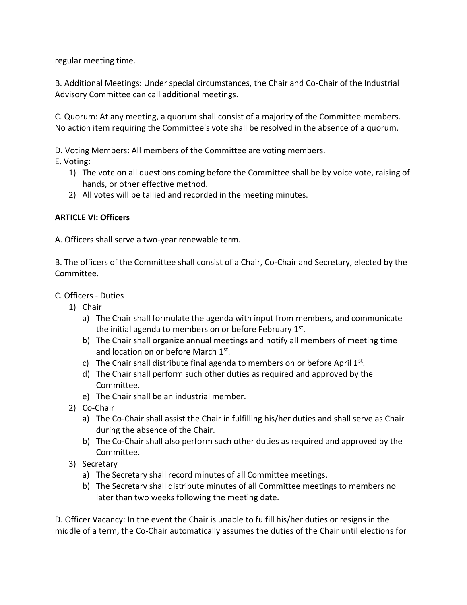regular meeting time.

B. Additional Meetings: Under special circumstances, the Chair and Co-Chair of the Industrial Advisory Committee can call additional meetings.

C. Quorum: At any meeting, a quorum shall consist of a majority of the Committee members. No action item requiring the Committee's vote shall be resolved in the absence of a quorum.

D. Voting Members: All members of the Committee are voting members.

E. Voting:

- 1) The vote on all questions coming before the Committee shall be by voice vote, raising of hands, or other effective method.
- 2) All votes will be tallied and recorded in the meeting minutes.

## **ARTICLE VI: Officers**

A. Officers shall serve a two-year renewable term.

B. The officers of the Committee shall consist of a Chair, Co-Chair and Secretary, elected by the Committee.

- C. Officers Duties
	- 1) Chair
		- a) The Chair shall formulate the agenda with input from members, and communicate the initial agenda to members on or before February 1st.
		- b) The Chair shall organize annual meetings and notify all members of meeting time and location on or before March 1st.
		- c) The Chair shall distribute final agenda to members on or before April  $1<sup>st</sup>$ .
		- d) The Chair shall perform such other duties as required and approved by the Committee.
		- e) The Chair shall be an industrial member.
	- 2) Co-Chair
		- a) The Co-Chair shall assist the Chair in fulfilling his/her duties and shall serve as Chair during the absence of the Chair.
		- b) The Co-Chair shall also perform such other duties as required and approved by the Committee.
	- 3) Secretary
		- a) The Secretary shall record minutes of all Committee meetings.
		- b) The Secretary shall distribute minutes of all Committee meetings to members no later than two weeks following the meeting date.

D. Officer Vacancy: In the event the Chair is unable to fulfill his/her duties or resigns in the middle of a term, the Co-Chair automatically assumes the duties of the Chair until elections for